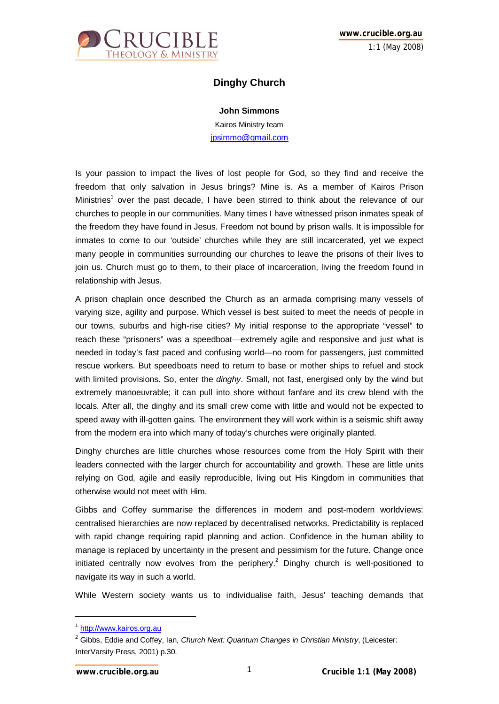

## **Dinghy Church**

**John Simmons**

Kairos Ministry team jpsimmo@gmail.com

Is your passion to impact the lives of lost people for God, so they find and receive the freedom that only salvation in Jesus brings? Mine is. As a member of Kairos Prison Ministries<sup>1</sup> over the past decade, I have been stirred to think about the relevance of our churches to people in our communities. Many times I have witnessed prison inmates speak of the freedom they have found in Jesus. Freedom not bound by prison walls. It is impossible for inmates to come to our 'outside' churches while they are still incarcerated, yet we expect many people in communities surrounding our churches to leave the prisons of their lives to join us. Church must go to them, to their place of incarceration, living the freedom found in relationship with Jesus.

A prison chaplain once described the Church as an armada comprising many vessels of varying size, agility and purpose. Which vessel is best suited to meet the needs of people in our towns, suburbs and high-rise cities? My initial response to the appropriate "vessel" to reach these "prisoners" was a speedboat—extremely agile and responsive and just what is needed in today's fast paced and confusing world—no room for passengers, just committed rescue workers. But speedboats need to return to base or mother ships to refuel and stock with limited provisions. So, enter the *dinghy*. Small, not fast, energised only by the wind but extremely manoeuvrable; it can pull into shore without fanfare and its crew blend with the locals. After all, the dinghy and its small crew come with little and would not be expected to speed away with ill-gotten gains. The environment they will work within is a seismic shift away from the modern era into which many of today's churches were originally planted.

Dinghy churches are little churches whose resources come from the Holy Spirit with their leaders connected with the larger church for accountability and growth. These are little units relying on God, agile and easily reproducible, living out His Kingdom in communities that otherwise would not meet with Him.

Gibbs and Coffey summarise the differences in modern and post-modern worldviews: centralised hierarchies are now replaced by decentralised networks. Predictability is replaced with rapid change requiring rapid planning and action. Confidence in the human ability to manage is replaced by uncertainty in the present and pessimism for the future. Change once initiated centrally now evolves from the periphery.<sup>2</sup> Dinghy church is well-positioned to navigate its way in such a world.

While Western society wants us to individualise faith, Jesus' teaching demands that

 $\overline{a}$ 

<sup>&</sup>lt;sup>1</sup> http://www.kairos.org.au

<sup>2</sup> Gibbs, Eddie and Coffey, Ian, *Church Next: Quantum Changes in Christian Ministry*, (Leicester: InterVarsity Press, 2001) p.30.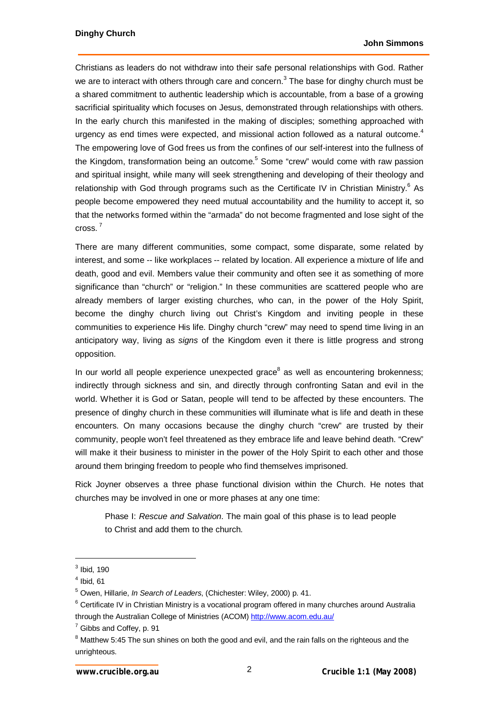Christians as leaders do not withdraw into their safe personal relationships with God. Rather we are to interact with others through care and concern.<sup>3</sup> The base for dinghy church must be a shared commitment to authentic leadership which is accountable, from a base of a growing sacrificial spirituality which focuses on Jesus, demonstrated through relationships with others. In the early church this manifested in the making of disciples; something approached with urgency as end times were expected, and missional action followed as a natural outcome.<sup>4</sup> The empowering love of God frees us from the confines of our self-interest into the fullness of the Kingdom, transformation being an outcome.<sup>5</sup> Some "crew" would come with raw passion and spiritual insight, while many will seek strengthening and developing of their theology and relationship with God through programs such as the Certificate IV in Christian Ministry. $^6$  As people become empowered they need mutual accountability and the humility to accept it, so that the networks formed within the "armada" do not become fragmented and lose sight of the cross. <sup>7</sup>

There are many different communities, some compact, some disparate, some related by interest, and some -- like workplaces -- related by location. All experience a mixture of life and death, good and evil. Members value their community and often see it as something of more significance than "church" or "religion." In these communities are scattered people who are already members of larger existing churches, who can, in the power of the Holy Spirit, become the dinghy church living out Christ's Kingdom and inviting people in these communities to experience His life. Dinghy church "crew" may need to spend time living in an anticipatory way, living as *signs* of the Kingdom even it there is little progress and strong opposition.

In our world all people experience unexpected grace $8$  as well as encountering brokenness; indirectly through sickness and sin, and directly through confronting Satan and evil in the world. Whether it is God or Satan, people will tend to be affected by these encounters. The presence of dinghy church in these communities will illuminate what is life and death in these encounters. On many occasions because the dinghy church "crew" are trusted by their community, people won't feel threatened as they embrace life and leave behind death. "Crew" will make it their business to minister in the power of the Holy Spirit to each other and those around them bringing freedom to people who find themselves imprisoned.

Rick Joyner observes a three phase functional division within the Church. He notes that churches may be involved in one or more phases at any one time:

Phase I: *Rescue and Salvation*. The main goal of this phase is to lead people to Christ and add them to the church.

 $\overline{a}$ 

 $3$  Ibid, 190

 $<sup>4</sup>$  Ibid, 61</sup>

<sup>5</sup> Owen, Hillarie, *In Search of Leaders*, (Chichester: Wiley, 2000) p. 41.

 $^6$  Certificate IV in Christian Ministry is a vocational program offered in many churches around Australia through the Australian College of Ministries (ACOM) http://www.acom.edu.au/

 $<sup>7</sup>$  Gibbs and Coffey, p. 91</sup>

 $^8$  Matthew 5:45 The sun shines on both the good and evil, and the rain falls on the righteous and the unrighteous.